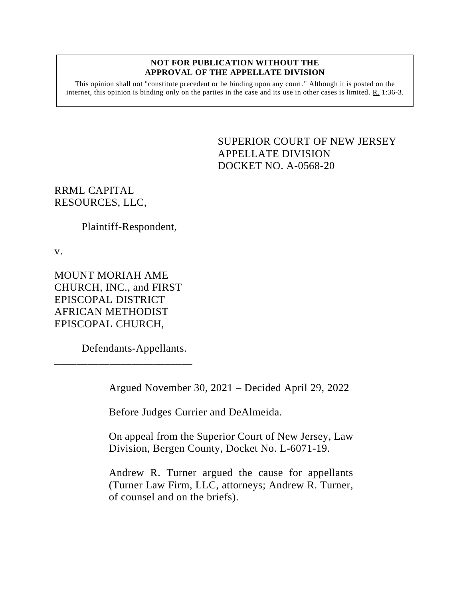## **NOT FOR PUBLICATION WITHOUT THE APPROVAL OF THE APPELLATE DIVISION**

This opinion shall not "constitute precedent or be binding upon any court." Although it is posted on the internet, this opinion is binding only on the parties in the case and its use in other cases is limited. R. 1:36-3.

> <span id="page-0-0"></span>SUPERIOR COURT OF NEW JERSEY APPELLATE DIVISION DOCKET NO. A-0568-20

RRML CAPITAL RESOURCES, LLC,

Plaintiff-Respondent,

v.

MOUNT MORIAH AME CHURCH, INC., and FIRST EPISCOPAL DISTRICT AFRICAN METHODIST EPISCOPAL CHURCH,

Defendants-Appellants.

\_\_\_\_\_\_\_\_\_\_\_\_\_\_\_\_\_\_\_\_\_\_\_\_\_

Argued November 30, 2021 – Decided April 29, 2022

Before Judges Currier and DeAlmeida.

On appeal from the Superior Court of New Jersey, Law Division, Bergen County, Docket No. L-6071-19.

Andrew R. Turner argued the cause for appellants (Turner Law Firm, LLC, attorneys; Andrew R. Turner, of counsel and on the briefs).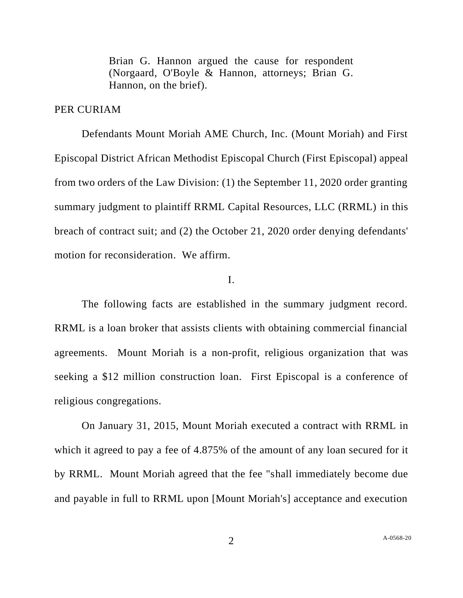Brian G. Hannon argued the cause for respondent (Norgaard, O'Boyle & Hannon, attorneys; Brian G. Hannon, on the brief).

## PER CURIAM

Defendants Mount Moriah AME Church, Inc. (Mount Moriah) and First Episcopal District African Methodist Episcopal Church (First Episcopal) appeal from two orders of the Law Division: (1) the September 11, 2020 order granting summary judgment to plaintiff RRML Capital Resources, LLC (RRML) in this breach of contract suit; and (2) the October 21, 2020 order denying defendants' motion for reconsideration. We affirm.

## I.

The following facts are established in the summary judgment record. RRML is a loan broker that assists clients with obtaining commercial financial agreements. Mount Moriah is a non-profit, religious organization that was seeking a \$12 million construction loan. First Episcopal is a conference of religious congregations.

On January 31, 2015, Mount Moriah executed a contract with RRML in which it agreed to pay a fee of 4.875% of the amount of any loan secured for it by RRML. Mount Moriah agreed that the fee "shall immediately become due and payable in full to RRML upon [Mount Moriah's] acceptance and execution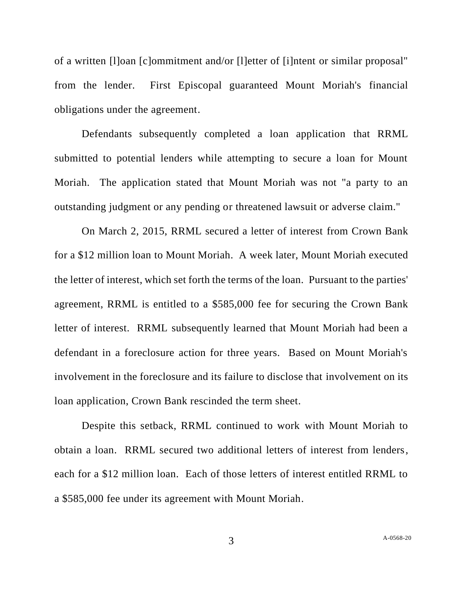of a written [l]oan [c]ommitment and/or [l]etter of [i]ntent or similar proposal" from the lender. First Episcopal guaranteed Mount Moriah's financial obligations under the agreement.

Defendants subsequently completed a loan application that RRML submitted to potential lenders while attempting to secure a loan for Mount Moriah. The application stated that Mount Moriah was not "a party to an outstanding judgment or any pending or threatened lawsuit or adverse claim."

On March 2, 2015, RRML secured a letter of interest from Crown Bank for a \$12 million loan to Mount Moriah. A week later, Mount Moriah executed the letter of interest, which set forth the terms of the loan. Pursuant to the parties' agreement, RRML is entitled to a \$585,000 fee for securing the Crown Bank letter of interest. RRML subsequently learned that Mount Moriah had been a defendant in a foreclosure action for three years. Based on Mount Moriah's involvement in the foreclosure and its failure to disclose that involvement on its loan application, Crown Bank rescinded the term sheet.

Despite this setback, RRML continued to work with Mount Moriah to obtain a loan. RRML secured two additional letters of interest from lenders, each for a \$12 million loan. Each of those letters of interest entitled RRML to a \$585,000 fee under its agreement with Mount Moriah.

3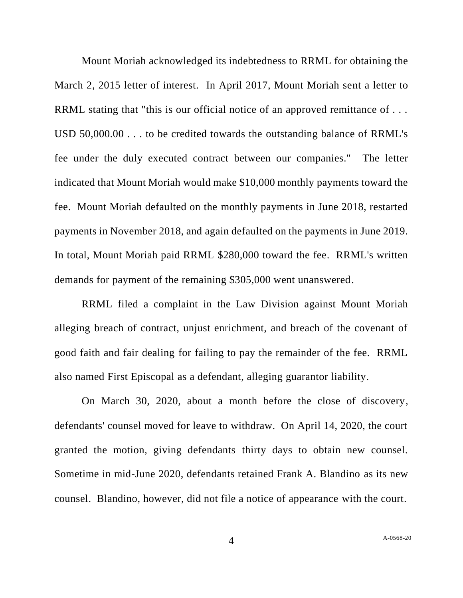Mount Moriah acknowledged its indebtedness to RRML for obtaining the March 2, 2015 letter of interest. In April 2017, Mount Moriah sent a letter to RRML stating that "this is our official notice of an approved remittance of ... USD 50,000.00 . . . to be credited towards the outstanding balance of RRML's fee under the duly executed contract between our companies." The letter indicated that Mount Moriah would make \$10,000 monthly payments toward the fee. Mount Moriah defaulted on the monthly payments in June 2018, restarted payments in November 2018, and again defaulted on the payments in June 2019. In total, Mount Moriah paid RRML \$280,000 toward the fee. RRML's written demands for payment of the remaining \$305,000 went unanswered.

RRML filed a complaint in the Law Division against Mount Moriah alleging breach of contract, unjust enrichment, and breach of the covenant of good faith and fair dealing for failing to pay the remainder of the fee. RRML also named First Episcopal as a defendant, alleging guarantor liability.

On March 30, 2020, about a month before the close of discovery, defendants' counsel moved for leave to withdraw. On April 14, 2020, the court granted the motion, giving defendants thirty days to obtain new counsel. Sometime in mid-June 2020, defendants retained Frank A. Blandino as its new counsel. Blandino, however, did not file a notice of appearance with the court.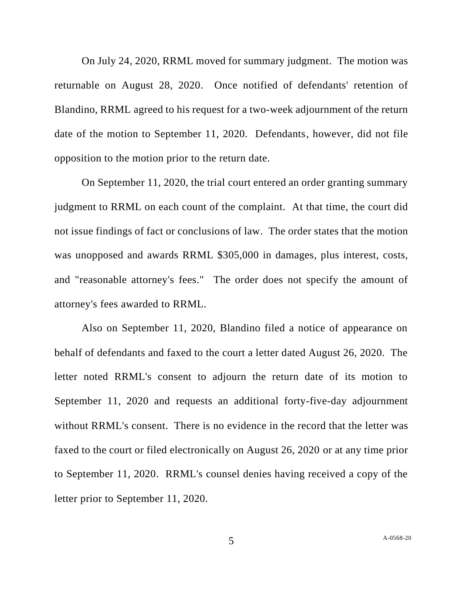On July 24, 2020, RRML moved for summary judgment. The motion was returnable on August 28, 2020. Once notified of defendants' retention of Blandino, RRML agreed to his request for a two-week adjournment of the return date of the motion to September 11, 2020. Defendants, however, did not file opposition to the motion prior to the return date.

On September 11, 2020, the trial court entered an order granting summary judgment to RRML on each count of the complaint. At that time, the court did not issue findings of fact or conclusions of law. The order states that the motion was unopposed and awards RRML \$305,000 in damages, plus interest, costs, and "reasonable attorney's fees." The order does not specify the amount of attorney's fees awarded to RRML.

Also on September 11, 2020, Blandino filed a notice of appearance on behalf of defendants and faxed to the court a letter dated August 26, 2020. The letter noted RRML's consent to adjourn the return date of its motion to September 11, 2020 and requests an additional forty-five-day adjournment without RRML's consent. There is no evidence in the record that the letter was faxed to the court or filed electronically on August 26, 2020 or at any time prior to September 11, 2020. RRML's counsel denies having received a copy of the letter prior to September 11, 2020.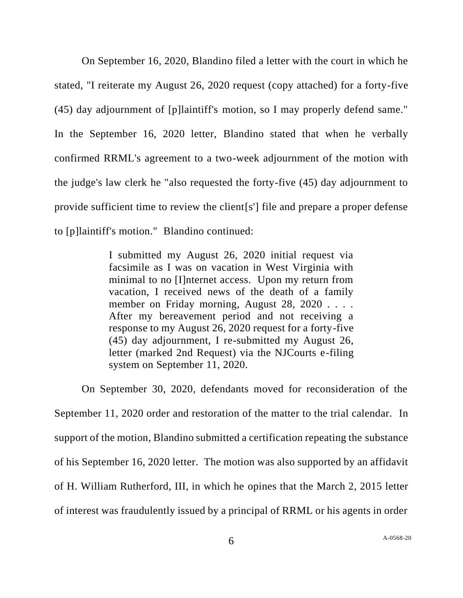On September 16, 2020, Blandino filed a letter with the court in which he stated, "I reiterate my August 26, 2020 request (copy attached) for a forty-five (45) day adjournment of [p]laintiff's motion, so I may properly defend same." In the September 16, 2020 letter, Blandino stated that when he verbally confirmed RRML's agreement to a two-week adjournment of the motion with the judge's law clerk he "also requested the forty-five (45) day adjournment to provide sufficient time to review the client[s'] file and prepare a proper defense to [p]laintiff's motion." Blandino continued:

> I submitted my August 26, 2020 initial request via facsimile as I was on vacation in West Virginia with minimal to no [I]nternet access. Upon my return from vacation, I received news of the death of a family member on Friday morning, August 28, 2020 . . . . After my bereavement period and not receiving a response to my August 26, 2020 request for a forty-five (45) day adjournment, I re-submitted my August 26, letter (marked 2nd Request) via the NJCourts e-filing system on September 11, 2020.

On September 30, 2020, defendants moved for reconsideration of the September 11, 2020 order and restoration of the matter to the trial calendar. In support of the motion, Blandino submitted a certification repeating the substance of his September 16, 2020 letter. The motion was also supported by an affidavit of H. William Rutherford, III, in which he opines that the March 2, 2015 letter of interest was fraudulently issued by a principal of RRML or his agents in order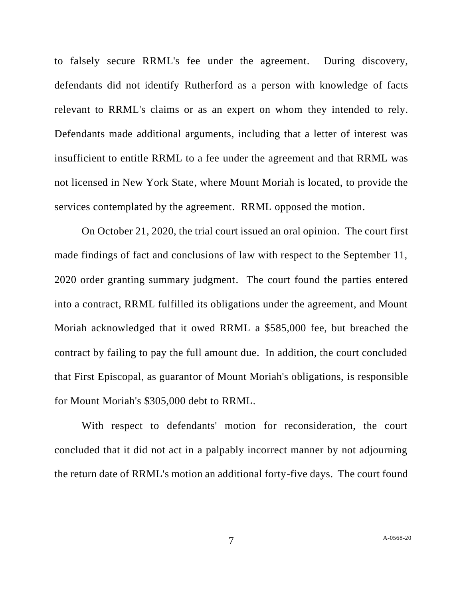to falsely secure RRML's fee under the agreement. During discovery, defendants did not identify Rutherford as a person with knowledge of facts relevant to RRML's claims or as an expert on whom they intended to rely. Defendants made additional arguments, including that a letter of interest was insufficient to entitle RRML to a fee under the agreement and that RRML was not licensed in New York State, where Mount Moriah is located, to provide the services contemplated by the agreement. RRML opposed the motion.

On October 21, 2020, the trial court issued an oral opinion. The court first made findings of fact and conclusions of law with respect to the September 11, 2020 order granting summary judgment. The court found the parties entered into a contract, RRML fulfilled its obligations under the agreement, and Mount Moriah acknowledged that it owed RRML a \$585,000 fee, but breached the contract by failing to pay the full amount due. In addition, the court concluded that First Episcopal, as guarantor of Mount Moriah's obligations, is responsible for Mount Moriah's \$305,000 debt to RRML.

With respect to defendants' motion for reconsideration, the court concluded that it did not act in a palpably incorrect manner by not adjourning the return date of RRML's motion an additional forty-five days. The court found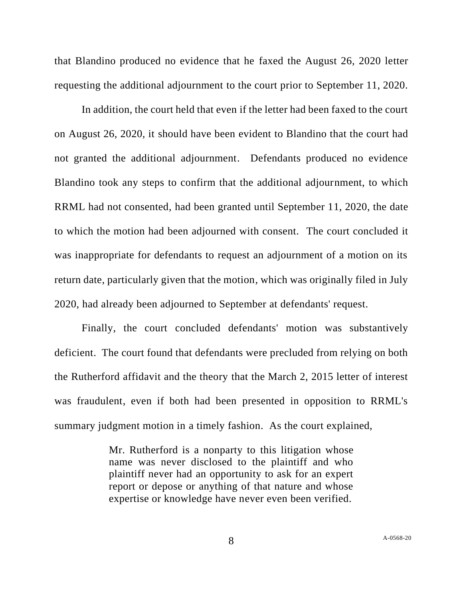that Blandino produced no evidence that he faxed the August 26, 2020 letter requesting the additional adjournment to the court prior to September 11, 2020.

In addition, the court held that even if the letter had been faxed to the court on August 26, 2020, it should have been evident to Blandino that the court had not granted the additional adjournment. Defendants produced no evidence Blandino took any steps to confirm that the additional adjournment, to which RRML had not consented, had been granted until September 11, 2020, the date to which the motion had been adjourned with consent. The court concluded it was inappropriate for defendants to request an adjournment of a motion on its return date, particularly given that the motion, which was originally filed in July 2020, had already been adjourned to September at defendants' request.

Finally, the court concluded defendants' motion was substantively deficient. The court found that defendants were precluded from relying on both the Rutherford affidavit and the theory that the March 2, 2015 letter of interest was fraudulent, even if both had been presented in opposition to RRML's summary judgment motion in a timely fashion. As the court explained,

> Mr. Rutherford is a nonparty to this litigation whose name was never disclosed to the plaintiff and who plaintiff never had an opportunity to ask for an expert report or depose or anything of that nature and whose expertise or knowledge have never even been verified.

8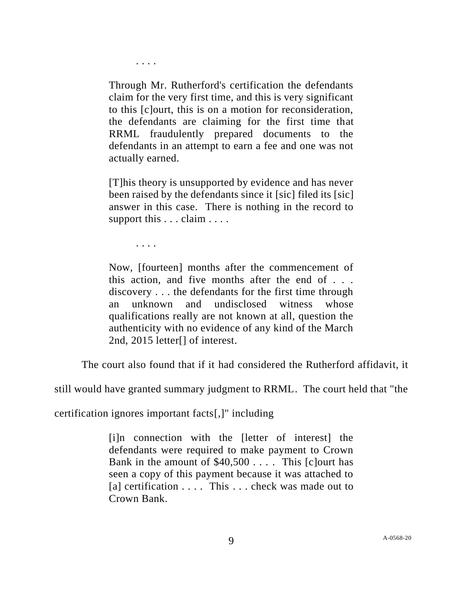. . . .

Through Mr. Rutherford's certification the defendants claim for the very first time, and this is very significant to this [c]ourt, this is on a motion for reconsideration, the defendants are claiming for the first time that RRML fraudulently prepared documents to the defendants in an attempt to earn a fee and one was not actually earned.

[T]his theory is unsupported by evidence and has never been raised by the defendants since it [sic] filed its [sic] answer in this case. There is nothing in the record to support this . . . claim . . . .

. . . .

Now, [fourteen] months after the commencement of this action, and five months after the end of . . . discovery . . . the defendants for the first time through an unknown and undisclosed witness whose qualifications really are not known at all, question the authenticity with no evidence of any kind of the March 2nd, 2015 letter[] of interest.

The court also found that if it had considered the Rutherford affidavit, it

still would have granted summary judgment to RRML. The court held that "the

certification ignores important facts[,]" including

[i]n connection with the [letter of interest] the defendants were required to make payment to Crown Bank in the amount of  $$40,500...$  This [c]ourt has seen a copy of this payment because it was attached to [a] certification . . . . This . . . check was made out to Crown Bank.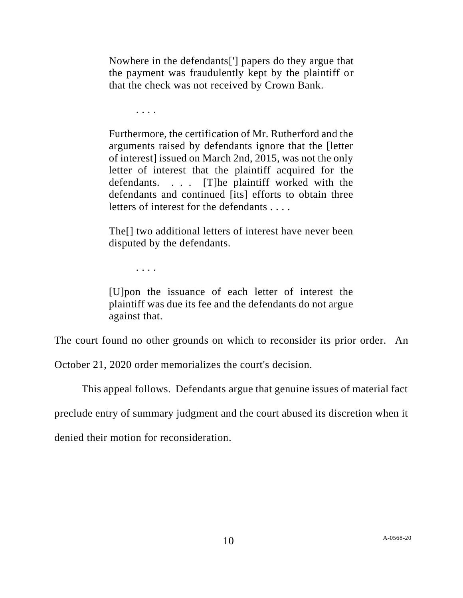Nowhere in the defendants['] papers do they argue that the payment was fraudulently kept by the plaintiff or that the check was not received by Crown Bank.

. . . .

Furthermore, the certification of Mr. Rutherford and the arguments raised by defendants ignore that the [letter of interest] issued on March 2nd, 2015, was not the only letter of interest that the plaintiff acquired for the defendants. . . . [T]he plaintiff worked with the defendants and continued [its] efforts to obtain three letters of interest for the defendants . . . .

The[] two additional letters of interest have never been disputed by the defendants.

. . . .

[U]pon the issuance of each letter of interest the plaintiff was due its fee and the defendants do not argue against that.

The court found no other grounds on which to reconsider its prior order. An

October 21, 2020 order memorializes the court's decision.

This appeal follows. Defendants argue that genuine issues of material fact

preclude entry of summary judgment and the court abused its discretion when it

denied their motion for reconsideration.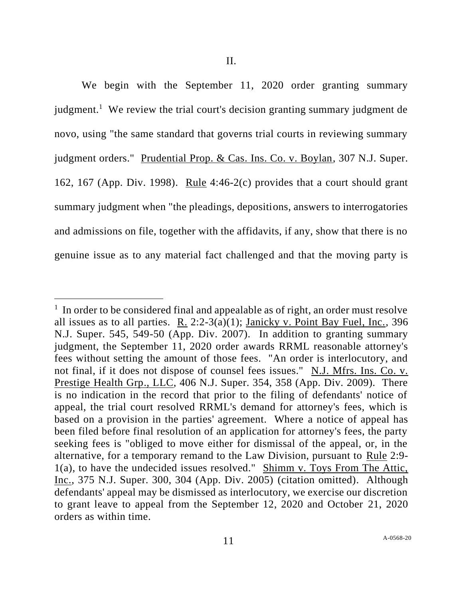We begin with the September 11, 2020 order granting summary judgment.<sup>1</sup> We review the trial court's decision granting summary judgment de novo, using "the same standard that governs trial courts in reviewing summary judgment orders." Prudential Prop. & Cas. Ins. Co. v. Boylan, 307 N.J. Super. 162, 167 (App. Div. 1998). Rule 4:46-2(c) provides that a court should grant summary judgment when "the pleadings, depositions, answers to interrogatories and admissions on file, together with the affidavits, if any, show that there is no genuine issue as to any material fact challenged and that the moving party is

<sup>&</sup>lt;sup>1</sup> In order to be considered final and appealable as of right, an order must resolve all issues as to all parties. R.  $2:2-3(a)(1)$ ; Janicky v. Point Bay Fuel, Inc., 396 N.J. Super. 545, 549-50 (App. Div. 2007). In addition to granting summary judgment, the September 11, 2020 order awards RRML reasonable attorney's fees without setting the amount of those fees. "An order is interlocutory, and not final, if it does not dispose of counsel fees issues." N.J. Mfrs. Ins. Co. v. Prestige Health Grp., LLC, 406 N.J. Super. 354, 358 (App. Div. 2009). There is no indication in the record that prior to the filing of defendants' notice of appeal, the trial court resolved RRML's demand for attorney's fees, which is based on a provision in the parties' agreement. Where a notice of appeal has been filed before final resolution of an application for attorney's fees, the party seeking fees is "obliged to move either for dismissal of the appeal, or, in the alternative, for a temporary remand to the Law Division, pursuant to Rule 2:9- 1(a), to have the undecided issues resolved." Shimm v. Toys From The Attic, Inc., 375 N.J. Super. 300, 304 (App. Div. 2005) (citation omitted). Although defendants' appeal may be dismissed as interlocutory, we exercise our discretion to grant leave to appeal from the September 12, 2020 and October 21, 2020 orders as within time.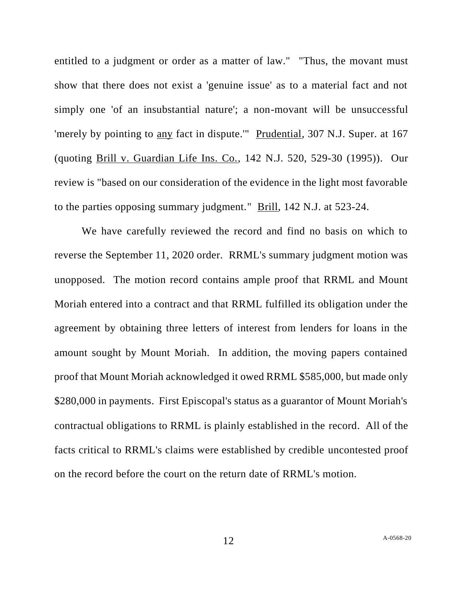entitled to a judgment or order as a matter of law." "Thus, the movant must show that there does not exist a 'genuine issue' as to a material fact and not simply one 'of an insubstantial nature'; a non-movant will be unsuccessful 'merely by pointing to any fact in dispute.'" Prudential, 307 N.J. Super. at 167 (quoting Brill v. Guardian Life Ins. Co., 142 N.J. 520, 529-30 (1995)). Our review is "based on our consideration of the evidence in the light most favorable to the parties opposing summary judgment." Brill, 142 N.J. at 523-24.

We have carefully reviewed the record and find no basis on which to reverse the September 11, 2020 order. RRML's summary judgment motion was unopposed. The motion record contains ample proof that RRML and Mount Moriah entered into a contract and that RRML fulfilled its obligation under the agreement by obtaining three letters of interest from lenders for loans in the amount sought by Mount Moriah. In addition, the moving papers contained proof that Mount Moriah acknowledged it owed RRML \$585,000, but made only \$280,000 in payments. First Episcopal's status as a guarantor of Mount Moriah's contractual obligations to RRML is plainly established in the record. All of the facts critical to RRML's claims were established by credible uncontested proof on the record before the court on the return date of RRML's motion.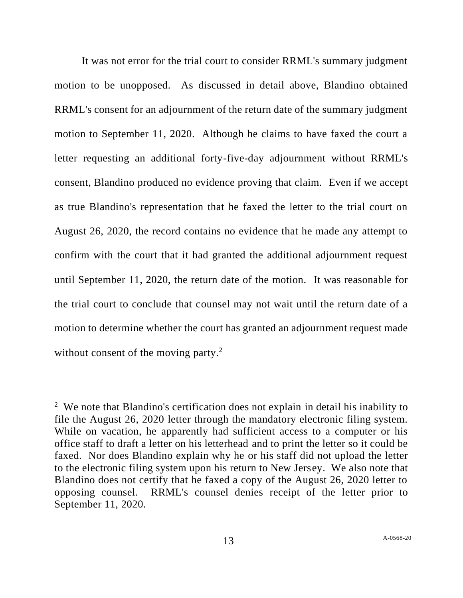It was not error for the trial court to consider RRML's summary judgment motion to be unopposed. As discussed in detail above, Blandino obtained RRML's consent for an adjournment of the return date of the summary judgment motion to September 11, 2020. Although he claims to have faxed the court a letter requesting an additional forty-five-day adjournment without RRML's consent, Blandino produced no evidence proving that claim. Even if we accept as true Blandino's representation that he faxed the letter to the trial court on August 26, 2020, the record contains no evidence that he made any attempt to confirm with the court that it had granted the additional adjournment request until September 11, 2020, the return date of the motion. It was reasonable for the trial court to conclude that counsel may not wait until the return date of a motion to determine whether the court has granted an adjournment request made without consent of the moving party.<sup>2</sup>

<sup>&</sup>lt;sup>2</sup> We note that Blandino's certification does not explain in detail his inability to file the August 26, 2020 letter through the mandatory electronic filing system. While on vacation, he apparently had sufficient access to a computer or his office staff to draft a letter on his letterhead and to print the letter so it could be faxed. Nor does Blandino explain why he or his staff did not upload the letter to the electronic filing system upon his return to New Jersey. We also note that Blandino does not certify that he faxed a copy of the August 26, 2020 letter to opposing counsel. RRML's counsel denies receipt of the letter prior to September 11, 2020.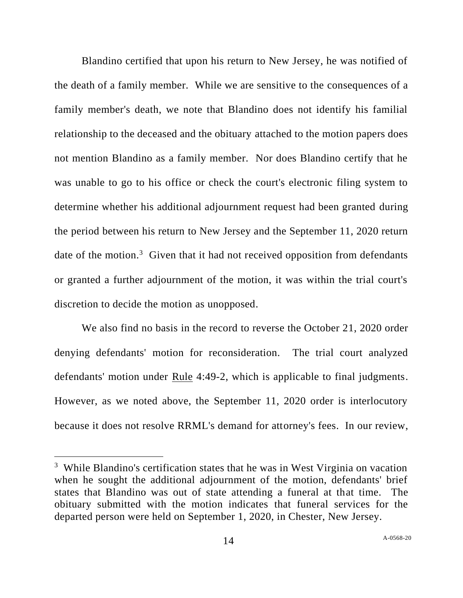Blandino certified that upon his return to New Jersey, he was notified of the death of a family member. While we are sensitive to the consequences of a family member's death, we note that Blandino does not identify his familial relationship to the deceased and the obituary attached to the motion papers does not mention Blandino as a family member. Nor does Blandino certify that he was unable to go to his office or check the court's electronic filing system to determine whether his additional adjournment request had been granted during the period between his return to New Jersey and the September 11, 2020 return date of the motion.<sup>3</sup> Given that it had not received opposition from defendants or granted a further adjournment of the motion, it was within the trial court's discretion to decide the motion as unopposed.

We also find no basis in the record to reverse the October 21, 2020 order denying defendants' motion for reconsideration. The trial court analyzed defendants' motion under <u>Rule</u> 4:49-2, which is applicable to final judgments. However, as we noted above, the September 11, 2020 order is interlocutory because it does not resolve RRML's demand for attorney's fees. In our review,

<sup>&</sup>lt;sup>3</sup> While Blandino's certification states that he was in West Virginia on vacation when he sought the additional adjournment of the motion, defendants' brief states that Blandino was out of state attending a funeral at that time. The obituary submitted with the motion indicates that funeral services for the departed person were held on September 1, 2020, in Chester, New Jersey.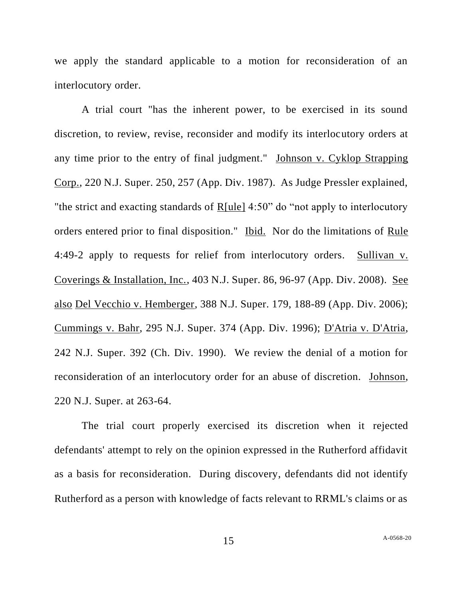we apply the standard applicable to a motion for reconsideration of an interlocutory order.

A trial court "has the inherent power, to be exercised in its sound discretion, to review, revise, reconsider and modify its interlocutory orders at any time prior to the entry of final judgment." Johnson v. Cyklop Strapping Corp., 220 N.J. Super. 250, 257 (App. Div. 1987). As Judge Pressler explained, "the strict and exacting standards of R[ule] 4:50" do "not apply to interlocutory orders entered prior to final disposition." Ibid. Nor do the limitations of Rule 4:49-2 apply to requests for relief from interlocutory orders. Sullivan v. Coverings & Installation, Inc., 403 N.J. Super. 86, 96-97 (App. Div. 2008). See also Del Vecchio v. Hemberger, 388 N.J. Super. 179, 188-89 (App. Div. 2006); Cummings v. Bahr, 295 N.J. Super. 374 (App. Div. 1996); D'Atria v. D'Atria, 242 N.J. Super. 392 (Ch. Div. 1990). We review the denial of a motion for reconsideration of an interlocutory order for an abuse of discretion. Johnson, 220 N.J. Super. at 263-64.

The trial court properly exercised its discretion when it rejected defendants' attempt to rely on the opinion expressed in the Rutherford affidavit as a basis for reconsideration. During discovery, defendants did not identify Rutherford as a person with knowledge of facts relevant to RRML's claims or as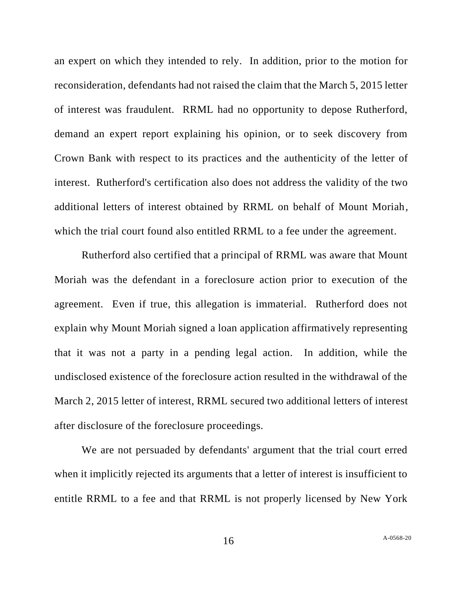an expert on which they intended to rely. In addition, prior to the motion for reconsideration, defendants had not raised the claim that the March 5, 2015 letter of interest was fraudulent. RRML had no opportunity to depose Rutherford, demand an expert report explaining his opinion, or to seek discovery from Crown Bank with respect to its practices and the authenticity of the letter of interest. Rutherford's certification also does not address the validity of the two additional letters of interest obtained by RRML on behalf of Mount Moriah, which the trial court found also entitled RRML to a fee under the agreement.

Rutherford also certified that a principal of RRML was aware that Mount Moriah was the defendant in a foreclosure action prior to execution of the agreement. Even if true, this allegation is immaterial. Rutherford does not explain why Mount Moriah signed a loan application affirmatively representing that it was not a party in a pending legal action. In addition, while the undisclosed existence of the foreclosure action resulted in the withdrawal of the March 2, 2015 letter of interest, RRML secured two additional letters of interest after disclosure of the foreclosure proceedings.

We are not persuaded by defendants' argument that the trial court erred when it implicitly rejected its arguments that a letter of interest is insufficient to entitle RRML to a fee and that RRML is not properly licensed by New York